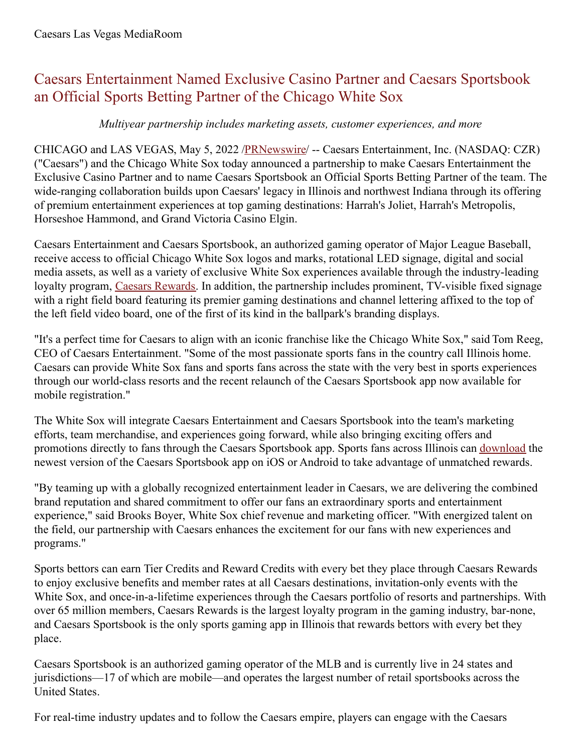## Caesars Entertainment Named Exclusive Casino Partner and Caesars Sportsbook an Official Sports Betting Partner of the Chicago White Sox

## *Multiyear partnership includes marketing assets, customer experiences, and more*

CHICAGO and LAS VEGAS, May 5, 2022 [/PRNewswire](http://www.prnewswire.com/)/ -- Caesars Entertainment, Inc. (NASDAQ: CZR) ("Caesars") and the Chicago White Sox today announced a partnership to make Caesars Entertainment the Exclusive Casino Partner and to name Caesars Sportsbook an Official Sports Betting Partner of the team. The wide-ranging collaboration builds upon Caesars' legacy in Illinois and northwest Indiana through its offering of premium entertainment experiences at top gaming destinations: Harrah's Joliet, Harrah's Metropolis, Horseshoe Hammond, and Grand Victoria Casino Elgin.

Caesars Entertainment and Caesars Sportsbook, an authorized gaming operator of Major League Baseball, receive access to official Chicago White Sox logos and marks, rotational LED signage, digital and social media assets, as well as a variety of exclusive White Sox experiences available through the industry-leading loyalty program, Caesars [Rewards](https://c212.net/c/link/?t=0&l=en&o=3527435-1&h=2053981442&u=https%3A%2F%2Fwww.caesars.com%2Fmyrewards&a=Caesars+Rewards). In addition, the partnership includes prominent, TV-visible fixed signage with a right field board featuring its premier gaming destinations and channel lettering affixed to the top of the left field video board, one of the first of its kind in the ballpark's branding displays.

"It's a perfect time for Caesars to align with an iconic franchise like the Chicago White Sox," said Tom Reeg, CEO of Caesars Entertainment. "Some of the most passionate sports fans in the country call Illinois home. Caesars can provide White Sox fans and sports fans across the state with the very best in sports experiences through our world-class resorts and the recent relaunch of the Caesars Sportsbook app now available for mobile registration."

The White Sox will integrate Caesars Entertainment and Caesars Sportsbook into the team's marketing efforts, team merchandise, and experiences going forward, while also bringing exciting offers and promotions directly to fans through the Caesars Sportsbook app. Sports fans across Illinois can [download](https://c212.net/c/link/?t=0&l=en&o=3527435-1&h=1724131911&u=https%3A%2F%2Fwww.williamhill.com%2Fus%2Fget-the-app&a=download) the newest version of the Caesars Sportsbook app on iOS or Android to take advantage of unmatched rewards.

"By teaming up with a globally recognized entertainment leader in Caesars, we are delivering the combined brand reputation and shared commitment to offer our fans an extraordinary sports and entertainment experience," said Brooks Boyer, White Sox chief revenue and marketing officer. "With energized talent on the field, our partnership with Caesars enhances the excitement for our fans with new experiences and programs."

Sports bettors can earn Tier Credits and Reward Credits with every bet they place through Caesars Rewards to enjoy exclusive benefits and member rates at all Caesars destinations, invitation-only events with the White Sox, and once-in-a-lifetime experiences through the Caesars portfolio of resorts and partnerships. With over 65 million members, Caesars Rewards is the largest loyalty program in the gaming industry, bar-none, and Caesars Sportsbook is the only sports gaming app in Illinois that rewards bettors with every bet they place.

Caesars Sportsbook is an authorized gaming operator of the MLB and is currently live in 24 states and jurisdictions—17 of which are mobile—and operates the largest number of retail sportsbooks across the United States.

For real-time industry updates and to follow the Caesars empire, players can engage with the Caesars